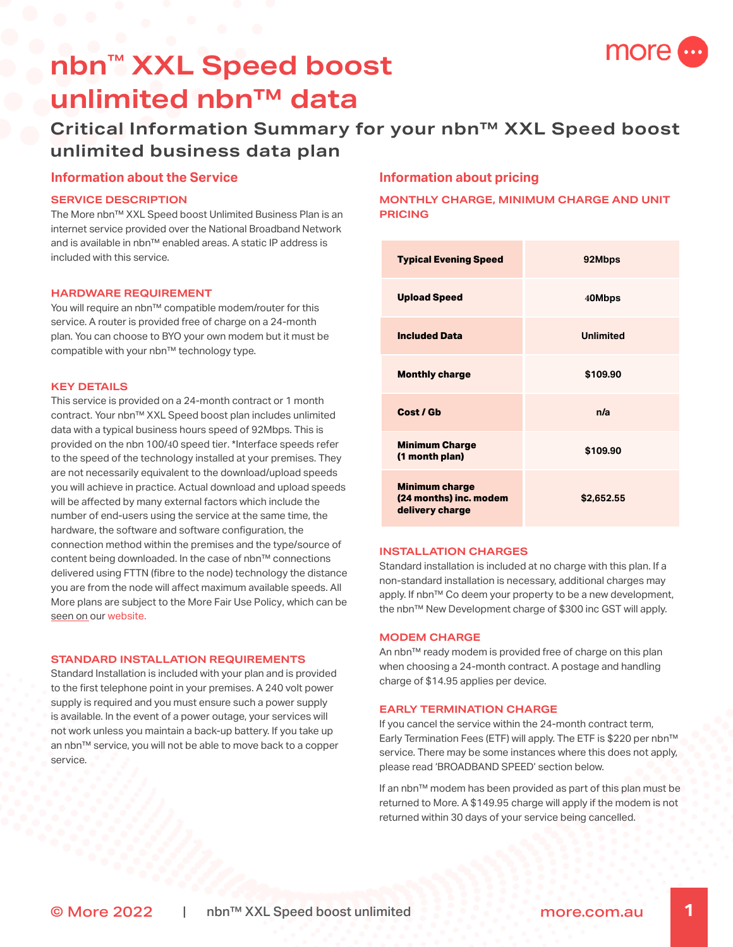

# **nbn™ XXL Speed boost unlimited nbn™ data**

# **Critical Information Summary for your nbn™ XXL Speed boost unlimited business data plan**

## **Information about the Service**

#### **SERVICE DESCRIPTION**

The More nbn™ XXL Speed boost Unlimited Business Plan is an internet service provided over the National Broadband Network and is available in nbn™ enabled areas. A static IP address is included with this service.

#### **HARDWARE REQUIREMENT**

You will require an nbn™ compatible modem/router for this service. A router is provided free of charge on a 24-month plan. You can choose to BYO your own modem but it must be compatible with your nbn™ technology type.

#### **KEY DETAILS**

This service is provided on a 24-month contract or 1 month contract. Your nbn™ XXL Speed boost plan includes unlimited data with a typical business hours speed of 92Mbps. This is provided on the nbn 100/40 speed tier. \*Interface speeds refer to the speed of the technology installed at your premises. They are not necessarily equivalent to the download/upload speeds you will achieve in practice. Actual download and upload speeds will be affected by many external factors which include the number of end-users using the service at the same time, the hardware, the software and software configuration, the connection method within the premises and the type/source of content being downloaded. In the case of nbn™ connections delivered using FTTN (fibre to the node) technology the distance you are from the node will affect maximum available speeds. All More plans are subject to the More Fair Use Policy, which can be seen on our [website](https://www.moretelecom.com.au/policies).

#### **STANDARD INSTALLATION REQUIREMENTS**

Standard Installation is included with your plan and is provided to the first telephone point in your premises. A 240 volt power supply is required and you must ensure such a power supply is available. In the event of a power outage, your services will not work unless you maintain a back-up battery. If you take up an nbn™ service, you will not be able to move back to a copper service.

# **Information about pricing**

### **MONTHLY CHARGE, MINIMUM CHARGE AND UNIT PRICING**

| <b>Typical Evening Speed</b>                                       | 92Mbps           |
|--------------------------------------------------------------------|------------------|
| <b>Upload Speed</b>                                                | 40Mbps           |
| <b>Included Data</b>                                               | <b>Unlimited</b> |
| <b>Monthly charge</b>                                              | \$109.90         |
| Cost / Gb                                                          | n/a              |
| <b>Minimum Charge</b><br>(1 month plan)                            | \$109.90         |
| <b>Minimum charge</b><br>(24 months) inc. modem<br>delivery charge | \$2,652.55       |

#### **INSTALLATION CHARGES**

Standard installation is included at no charge with this plan. If a non-standard installation is necessary, additional charges may apply. If nbn™ Co deem your property to be a new development, the nbn™ New Development charge of \$300 inc GST will apply.

#### **MODEM CHARGE**

An nbn™ ready modem is provided free of charge on this plan when choosing a 24-month contract. A postage and handling charge of \$14.95 applies per device.

#### **EARLY TERMINATION CHARGE**

If you cancel the service within the 24-month contract term, Early Termination Fees (ETF) will apply. The ETF is \$220 per nbn™ service. There may be some instances where this does not apply, please read 'BROADBAND SPEED' section below.

If an nbn™ modem has been provided as part of this plan must be returned to More. A \$149.95 charge will apply if the modem is not returned within 30 days of your service being cancelled.